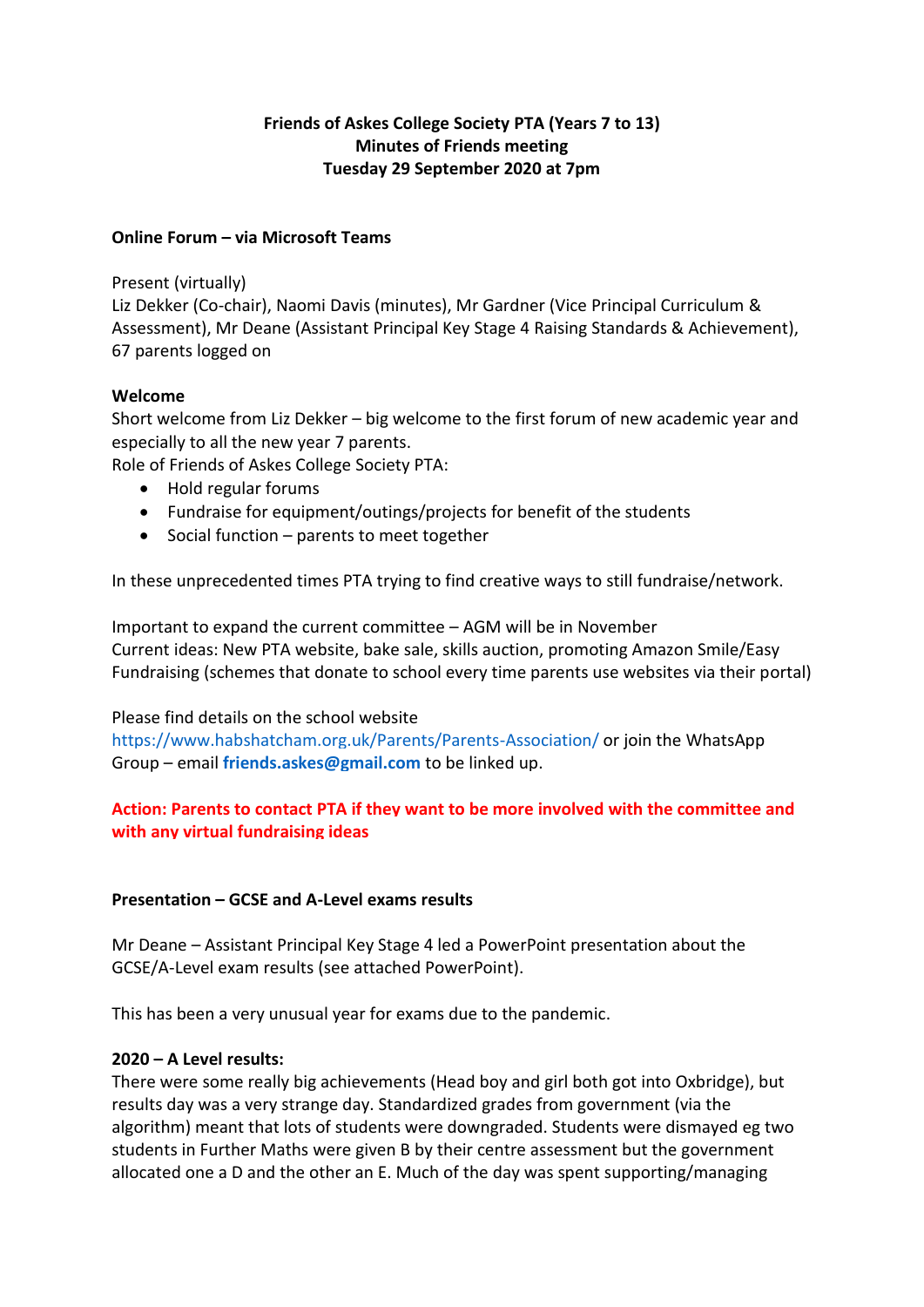## **Friends of Askes College Society PTA (Years 7 to 13) Minutes of Friends meeting Tuesday 29 September 2020 at 7pm**

### **Online Forum – via Microsoft Teams**

#### Present (virtually)

Liz Dekker (Co-chair), Naomi Davis (minutes), Mr Gardner (Vice Principal Curriculum & Assessment), Mr Deane (Assistant Principal Key Stage 4 Raising Standards & Achievement), 67 parents logged on

## **Welcome**

Short welcome from Liz Dekker – big welcome to the first forum of new academic year and especially to all the new year 7 parents.

Role of Friends of Askes College Society PTA:

- Hold regular forums
- Fundraise for equipment/outings/projects for benefit of the students
- Social function parents to meet together

In these unprecedented times PTA trying to find creative ways to still fundraise/network.

Important to expand the current committee – AGM will be in November Current ideas: New PTA website, bake sale, skills auction, promoting Amazon Smile/Easy Fundraising (schemes that donate to school every time parents use websites via their portal)

#### Please find details on the school website

<https://www.habshatcham.org.uk/Parents/Parents-Association/> or join the WhatsApp Group – email **[friends.askes@gmail.com](mailto:friends.askes@gmail.com)** to be linked up.

# **Action: Parents to contact PTA if they want to be more involved with the committee and with any virtual fundraising ideas**

## **Presentation – GCSE and A-Level exams results**

Mr Deane – Assistant Principal Key Stage 4 led a PowerPoint presentation about the GCSE/A-Level exam results (see attached PowerPoint).

This has been a very unusual year for exams due to the pandemic.

## **2020 – A Level results:**

There were some really big achievements (Head boy and girl both got into Oxbridge), but results day was a very strange day. Standardized grades from government (via the algorithm) meant that lots of students were downgraded. Students were dismayed eg two students in Further Maths were given B by their centre assessment but the government allocated one a D and the other an E. Much of the day was spent supporting/managing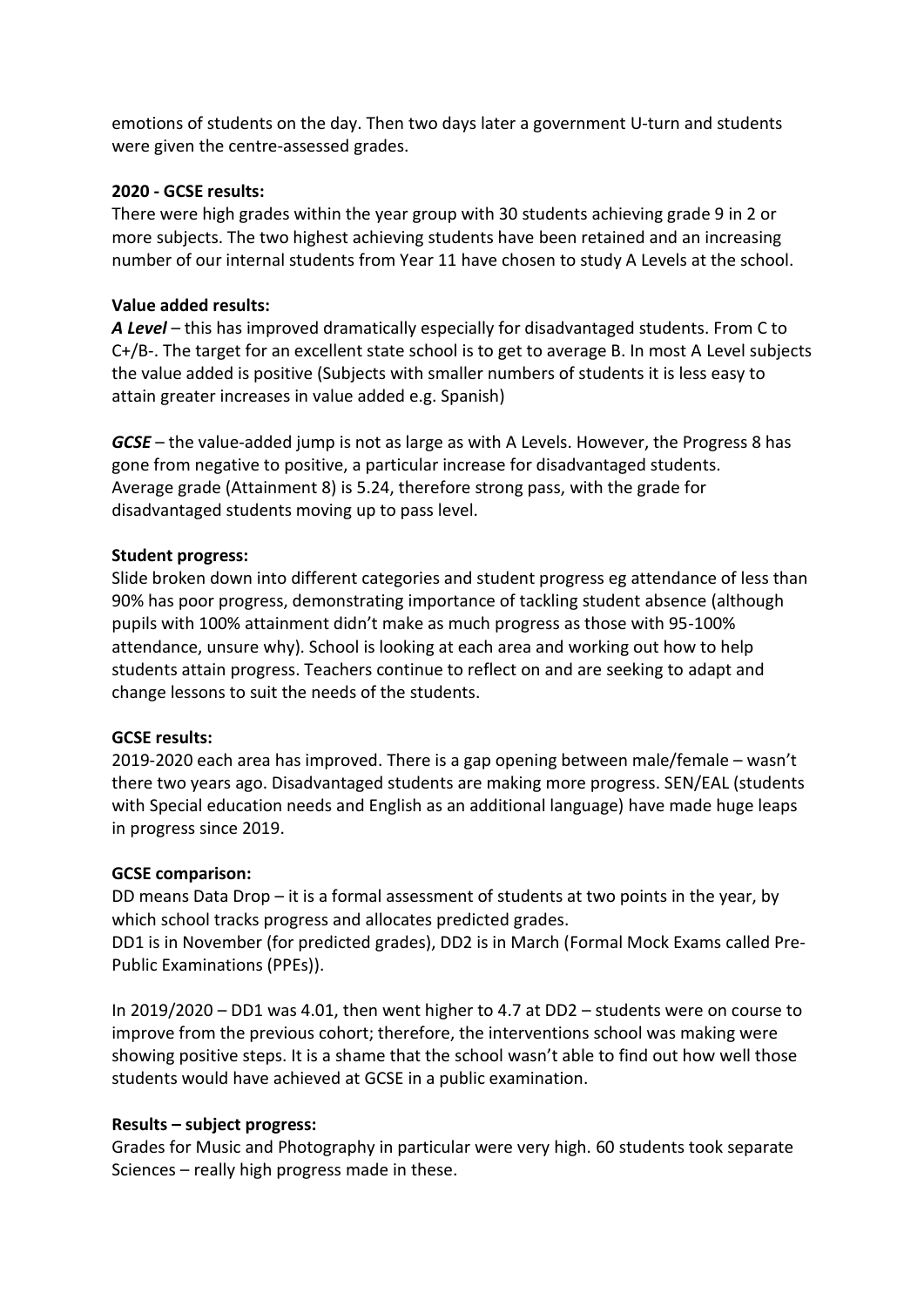emotions of students on the day. Then two days later a government U-turn and students were given the centre-assessed grades.

## **2020 - GCSE results:**

There were high grades within the year group with 30 students achieving grade 9 in 2 or more subjects. The two highest achieving students have been retained and an increasing number of our internal students from Year 11 have chosen to study A Levels at the school.

### **Value added results:**

*A Level* – this has improved dramatically especially for disadvantaged students. From C to C+/B-. The target for an excellent state school is to get to average B. In most A Level subjects the value added is positive (Subjects with smaller numbers of students it is less easy to attain greater increases in value added e.g. Spanish)

*GCSE* – the value-added jump is not as large as with A Levels. However, the Progress 8 has gone from negative to positive, a particular increase for disadvantaged students. Average grade (Attainment 8) is 5.24, therefore strong pass, with the grade for disadvantaged students moving up to pass level.

### **Student progress:**

Slide broken down into different categories and student progress eg attendance of less than 90% has poor progress, demonstrating importance of tackling student absence (although pupils with 100% attainment didn't make as much progress as those with 95-100% attendance, unsure why). School is looking at each area and working out how to help students attain progress. Teachers continue to reflect on and are seeking to adapt and change lessons to suit the needs of the students.

#### **GCSE results:**

2019-2020 each area has improved. There is a gap opening between male/female – wasn't there two years ago. Disadvantaged students are making more progress. SEN/EAL (students with Special education needs and English as an additional language) have made huge leaps in progress since 2019.

#### **GCSE comparison:**

DD means Data Drop – it is a formal assessment of students at two points in the year, by which school tracks progress and allocates predicted grades.

DD1 is in November (for predicted grades), DD2 is in March (Formal Mock Exams called Pre-Public Examinations (PPEs)).

In 2019/2020 – DD1 was 4.01, then went higher to 4.7 at DD2 – students were on course to improve from the previous cohort; therefore, the interventions school was making were showing positive steps. It is a shame that the school wasn't able to find out how well those students would have achieved at GCSE in a public examination.

#### **Results – subject progress:**

Grades for Music and Photography in particular were very high. 60 students took separate Sciences – really high progress made in these.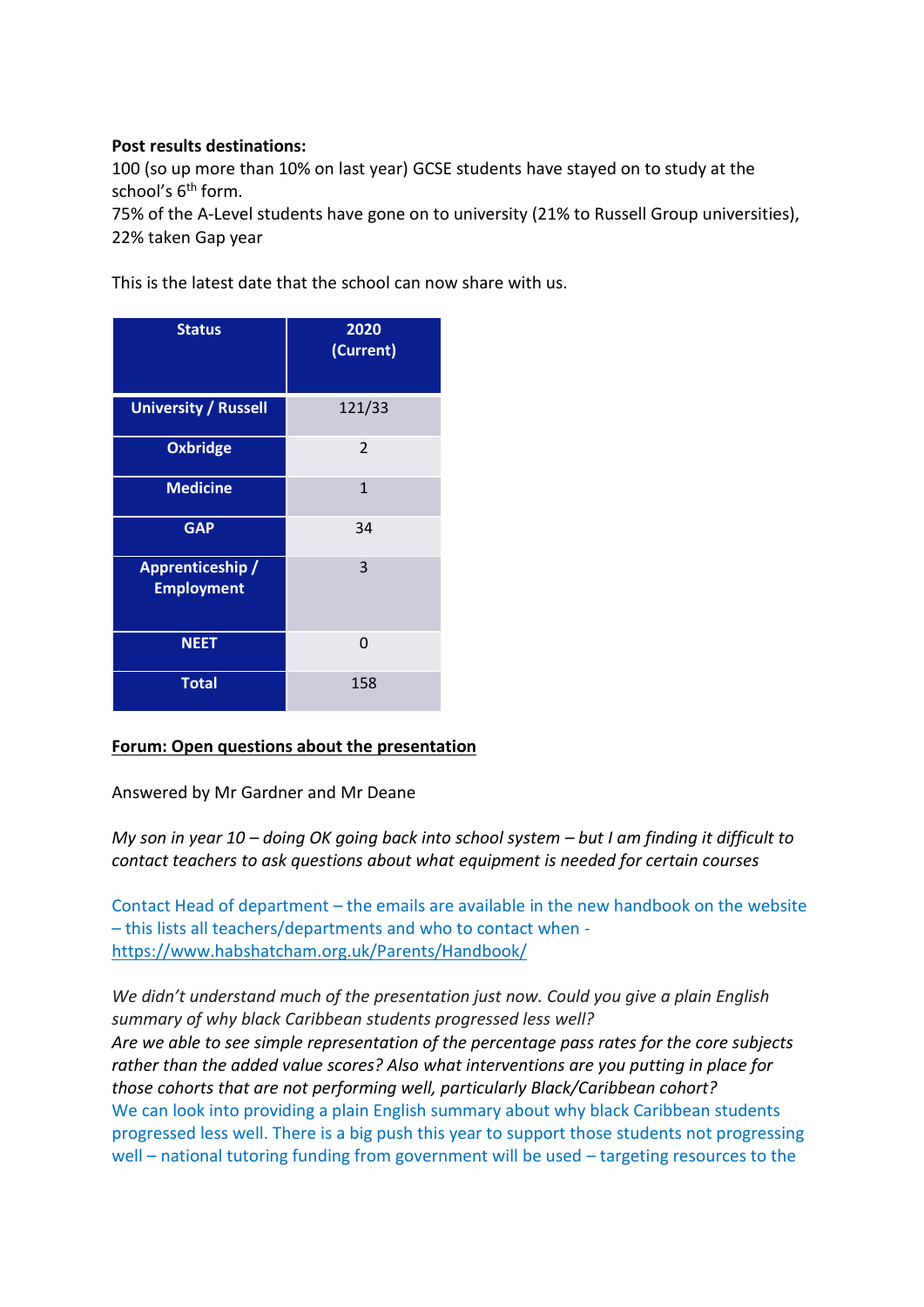### **Post results destinations:**

100 (so up more than 10% on last year) GCSE students have stayed on to study at the school's 6<sup>th</sup> form.

75% of the A-Level students have gone on to university (21% to Russell Group universities), 22% taken Gap year

This is the latest date that the school can now share with us.

| <b>Status</b>                         | 2020<br>(Current)        |
|---------------------------------------|--------------------------|
| <b>University / Russell</b>           | 121/33                   |
| <b>Oxbridge</b>                       | $\overline{\mathcal{L}}$ |
| <b>Medicine</b>                       | $\mathbf{1}$             |
| <b>GAP</b>                            | 34                       |
| Apprenticeship /<br><b>Employment</b> | 3                        |
| <b>NEET</b>                           | 0                        |
| <b>Total</b>                          | 158                      |

## **Forum: Open questions about the presentation**

Answered by Mr Gardner and Mr Deane

*My son in year 10 – doing OK going back into school system – but I am finding it difficult to contact teachers to ask questions about what equipment is needed for certain courses*

Contact Head of department – the emails are available in the new handbook on the website – this lists all teachers/departments and who to contact when <https://www.habshatcham.org.uk/Parents/Handbook/>

*We didn't understand much of the presentation just now. Could you give a plain English summary of why black Caribbean students progressed less well? Are we able to see simple representation of the percentage pass rates for the core subjects rather than the added value scores? Also what interventions are you putting in place for those cohorts that are not performing well, particularly Black/Caribbean cohort?*  We can look into providing a plain English summary about why black Caribbean students progressed less well. There is a big push this year to support those students not progressing well – national tutoring funding from government will be used – targeting resources to the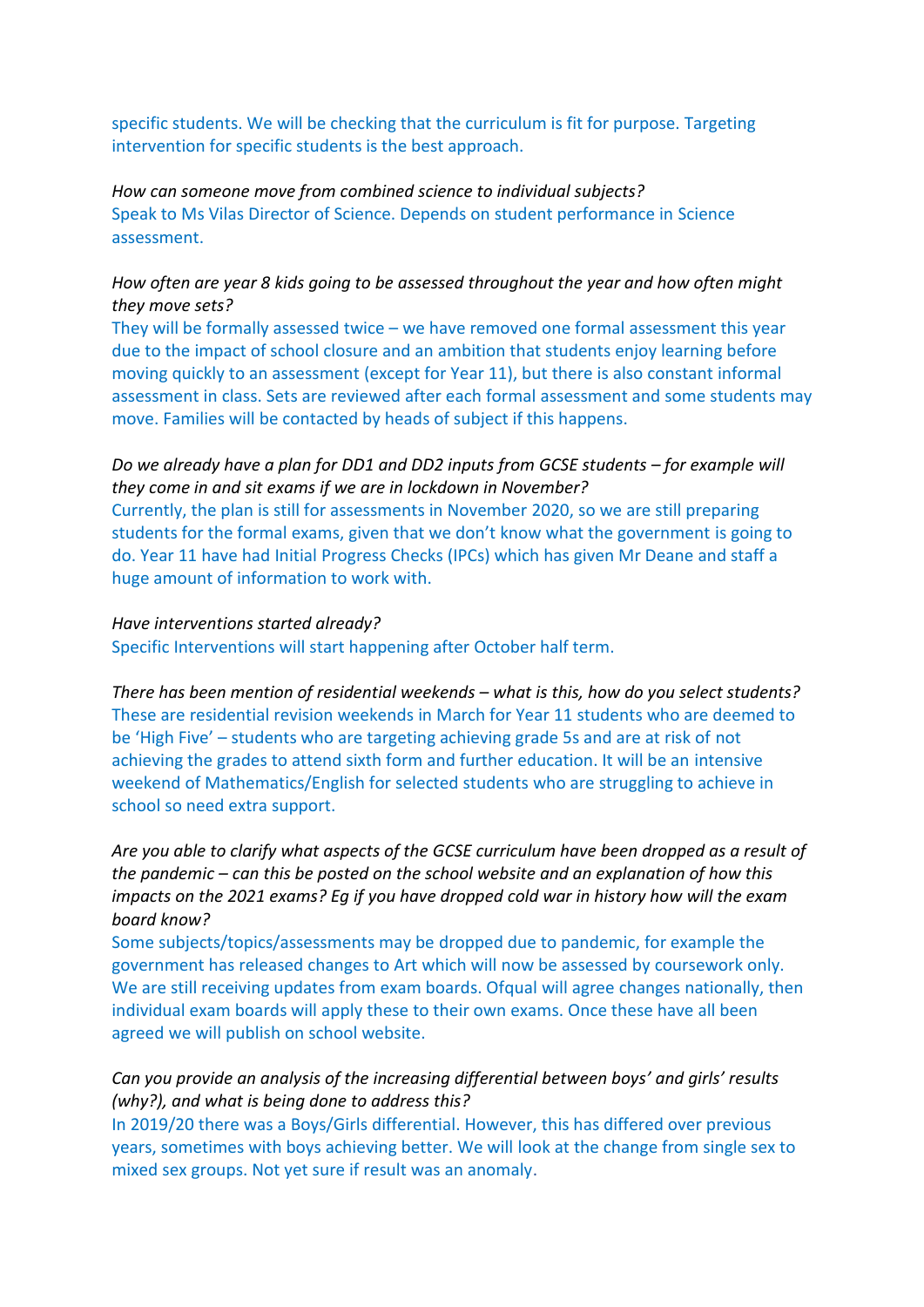specific students. We will be checking that the curriculum is fit for purpose. Targeting intervention for specific students is the best approach.

*How can someone move from combined science to individual subjects?* Speak to Ms Vilas Director of Science. Depends on student performance in Science assessment.

### *How often are year 8 kids going to be assessed throughout the year and how often might they move sets?*

They will be formally assessed twice – we have removed one formal assessment this year due to the impact of school closure and an ambition that students enjoy learning before moving quickly to an assessment (except for Year 11), but there is also constant informal assessment in class. Sets are reviewed after each formal assessment and some students may move. Families will be contacted by heads of subject if this happens.

*Do we already have a plan for DD1 and DD2 inputs from GCSE students – for example will they come in and sit exams if we are in lockdown in November?*  Currently, the plan is still for assessments in November 2020, so we are still preparing students for the formal exams, given that we don't know what the government is going to do. Year 11 have had Initial Progress Checks (IPCs) which has given Mr Deane and staff a huge amount of information to work with.

#### *Have interventions started already?*

Specific Interventions will start happening after October half term.

*There has been mention of residential weekends – what is this, how do you select students?*  These are residential revision weekends in March for Year 11 students who are deemed to be 'High Five' – students who are targeting achieving grade 5s and are at risk of not achieving the grades to attend sixth form and further education. It will be an intensive weekend of Mathematics/English for selected students who are struggling to achieve in school so need extra support.

*Are you able to clarify what aspects of the GCSE curriculum have been dropped as a result of the pandemic – can this be posted on the school website and an explanation of how this impacts on the 2021 exams? Eg if you have dropped cold war in history how will the exam board know?*

Some subjects/topics/assessments may be dropped due to pandemic, for example the government has released changes to Art which will now be assessed by coursework only. We are still receiving updates from exam boards. Ofqual will agree changes nationally, then individual exam boards will apply these to their own exams. Once these have all been agreed we will publish on school website.

## *Can you provide an analysis of the increasing differential between boys' and girls' results (why?), and what is being done to address this?*

In 2019/20 there was a Boys/Girls differential. However, this has differed over previous years, sometimes with boys achieving better. We will look at the change from single sex to mixed sex groups. Not yet sure if result was an anomaly.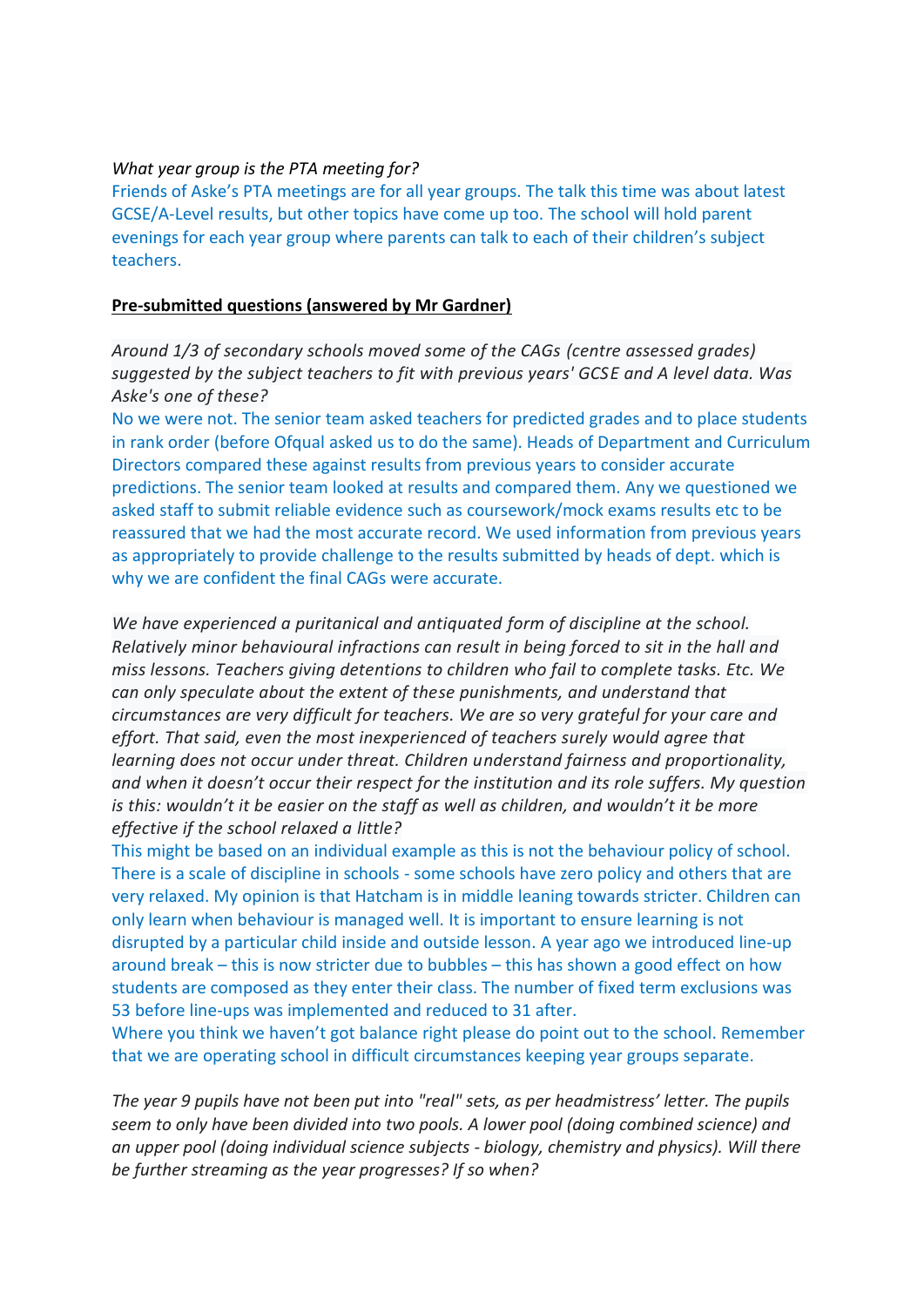#### *What year group is the PTA meeting for?*

Friends of Aske's PTA meetings are for all year groups. The talk this time was about latest GCSE/A-Level results, but other topics have come up too. The school will hold parent evenings for each year group where parents can talk to each of their children's subject teachers.

#### **Pre-submitted questions (answered by Mr Gardner)**

*Around 1/3 of secondary schools moved some of the CAGs (centre assessed grades) suggested by the subject teachers to fit with previous years' GCSE and A level data. Was Aske's one of these?*

No we were not. The senior team asked teachers for predicted grades and to place students in rank order (before Ofqual asked us to do the same). Heads of Department and Curriculum Directors compared these against results from previous years to consider accurate predictions. The senior team looked at results and compared them. Any we questioned we asked staff to submit reliable evidence such as coursework/mock exams results etc to be reassured that we had the most accurate record. We used information from previous years as appropriately to provide challenge to the results submitted by heads of dept. which is why we are confident the final CAGs were accurate.

*We have experienced a puritanical and antiquated form of discipline at the school. Relatively minor behavioural infractions can result in being forced to sit in the hall and miss lessons. Teachers giving detentions to children who fail to complete tasks. Etc. We can only speculate about the extent of these punishments, and understand that circumstances are very difficult for teachers. We are so very grateful for your care and effort. That said, even the most inexperienced of teachers surely would agree that learning does not occur under threat. Children understand fairness and proportionality, and when it doesn't occur their respect for the institution and its role suffers. My question is this: wouldn't it be easier on the staff as well as children, and wouldn't it be more effective if the school relaxed a little?*

This might be based on an individual example as this is not the behaviour policy of school. There is a scale of discipline in schools - some schools have zero policy and others that are very relaxed. My opinion is that Hatcham is in middle leaning towards stricter. Children can only learn when behaviour is managed well. It is important to ensure learning is not disrupted by a particular child inside and outside lesson. A year ago we introduced line-up around break – this is now stricter due to bubbles – this has shown a good effect on how students are composed as they enter their class. The number of fixed term exclusions was 53 before line-ups was implemented and reduced to 31 after.

Where you think we haven't got balance right please do point out to the school. Remember that we are operating school in difficult circumstances keeping year groups separate.

*The year 9 pupils have not been put into "real" sets, as per headmistress' letter. The pupils seem to only have been divided into two pools. A lower pool (doing combined science) and an upper pool (doing individual science subjects - biology, chemistry and physics). Will there be further streaming as the year progresses? If so when?*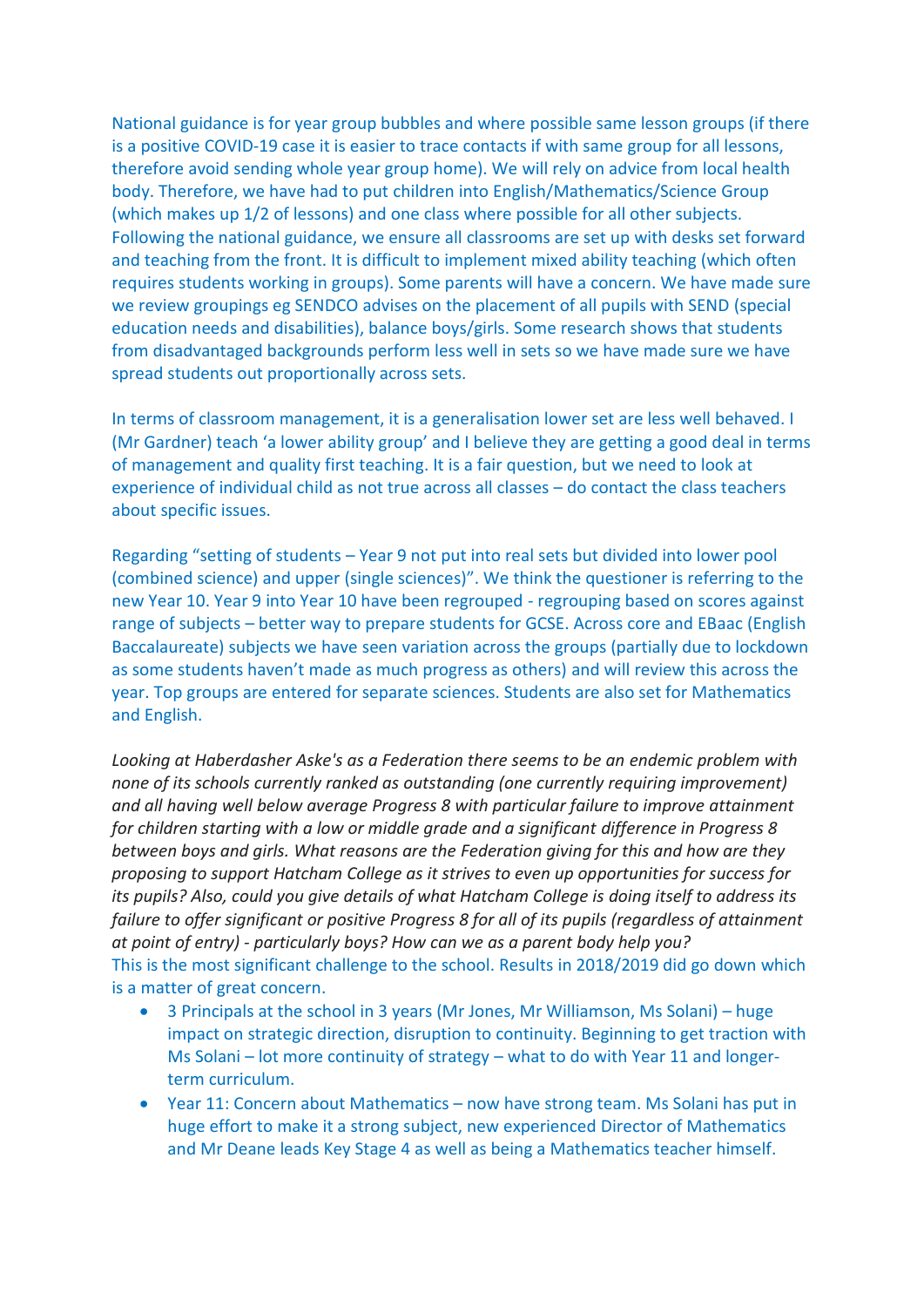National guidance is for year group bubbles and where possible same lesson groups (if there is a positive COVID-19 case it is easier to trace contacts if with same group for all lessons, therefore avoid sending whole year group home). We will rely on advice from local health body. Therefore, we have had to put children into English/Mathematics/Science Group (which makes up 1/2 of lessons) and one class where possible for all other subjects. Following the national guidance, we ensure all classrooms are set up with desks set forward and teaching from the front. It is difficult to implement mixed ability teaching (which often requires students working in groups). Some parents will have a concern. We have made sure we review groupings eg SENDCO advises on the placement of all pupils with SEND (special education needs and disabilities), balance boys/girls. Some research shows that students from disadvantaged backgrounds perform less well in sets so we have made sure we have spread students out proportionally across sets.

In terms of classroom management, it is a generalisation lower set are less well behaved. I (Mr Gardner) teach 'a lower ability group' and I believe they are getting a good deal in terms of management and quality first teaching. It is a fair question, but we need to look at experience of individual child as not true across all classes – do contact the class teachers about specific issues.

Regarding "setting of students – Year 9 not put into real sets but divided into lower pool (combined science) and upper (single sciences)". We think the questioner is referring to the new Year 10. Year 9 into Year 10 have been regrouped - regrouping based on scores against range of subjects – better way to prepare students for GCSE. Across core and EBaac (English Baccalaureate) subjects we have seen variation across the groups (partially due to lockdown as some students haven't made as much progress as others) and will review this across the year. Top groups are entered for separate sciences. Students are also set for Mathematics and English.

*Looking at Haberdasher Aske's as a Federation there seems to be an endemic problem with none of its schools currently ranked as outstanding (one currently requiring improvement) and all having well below average Progress 8 with particular failure to improve attainment for children starting with a low or middle grade and a significant difference in Progress 8 between boys and girls. What reasons are the Federation giving for this and how are they proposing to support Hatcham College as it strives to even up opportunities for success for its pupils? Also, could you give details of what Hatcham College is doing itself to address its failure to offer significant or positive Progress 8 for all of its pupils (regardless of attainment at point of entry) - particularly boys? How can we as a parent body help you?* This is the most significant challenge to the school. Results in 2018/2019 did go down which is a matter of great concern.

- 3 Principals at the school in 3 years (Mr Jones, Mr Williamson, Ms Solani) huge impact on strategic direction, disruption to continuity. Beginning to get traction with Ms Solani – lot more continuity of strategy – what to do with Year 11 and longerterm curriculum.
- Year 11: Concern about Mathematics now have strong team. Ms Solani has put in huge effort to make it a strong subject, new experienced Director of Mathematics and Mr Deane leads Key Stage 4 as well as being a Mathematics teacher himself.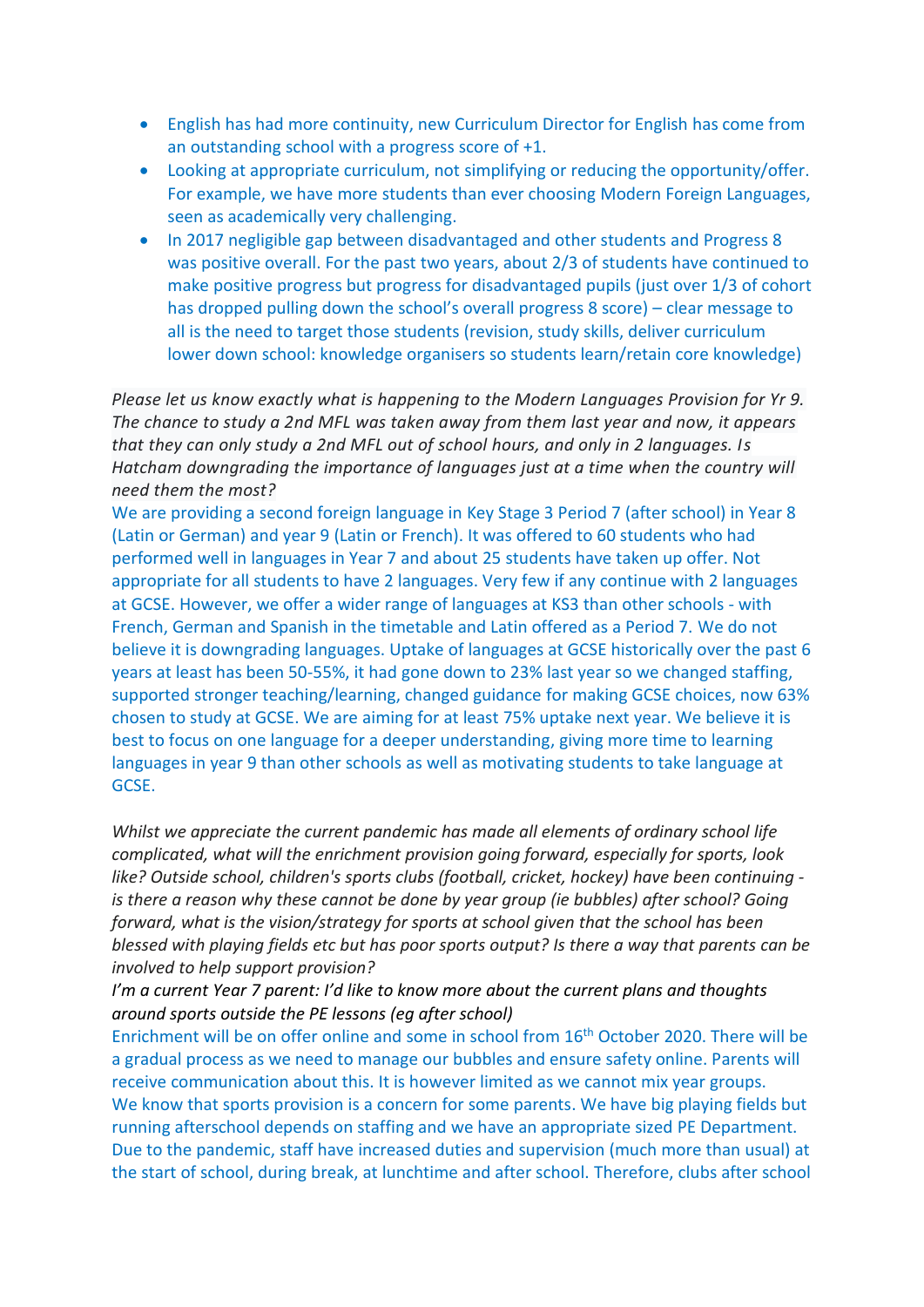- English has had more continuity, new Curriculum Director for English has come from an outstanding school with a progress score of +1.
- Looking at appropriate curriculum, not simplifying or reducing the opportunity/offer. For example, we have more students than ever choosing Modern Foreign Languages, seen as academically very challenging.
- In 2017 negligible gap between disadvantaged and other students and Progress 8 was positive overall. For the past two years, about 2/3 of students have continued to make positive progress but progress for disadvantaged pupils (just over 1/3 of cohort has dropped pulling down the school's overall progress 8 score) – clear message to all is the need to target those students (revision, study skills, deliver curriculum lower down school: knowledge organisers so students learn/retain core knowledge)

*Please let us know exactly what is happening to the Modern Languages Provision for Yr 9. The chance to study a 2nd MFL was taken away from them last year and now, it appears that they can only study a 2nd MFL out of school hours, and only in 2 languages. Is Hatcham downgrading the importance of languages just at a time when the country will need them the most?*

We are providing a second foreign language in Key Stage 3 Period 7 (after school) in Year 8 (Latin or German) and year 9 (Latin or French). It was offered to 60 students who had performed well in languages in Year 7 and about 25 students have taken up offer. Not appropriate for all students to have 2 languages. Very few if any continue with 2 languages at GCSE. However, we offer a wider range of languages at KS3 than other schools - with French, German and Spanish in the timetable and Latin offered as a Period 7. We do not believe it is downgrading languages. Uptake of languages at GCSE historically over the past 6 years at least has been 50-55%, it had gone down to 23% last year so we changed staffing, supported stronger teaching/learning, changed guidance for making GCSE choices, now 63% chosen to study at GCSE. We are aiming for at least 75% uptake next year. We believe it is best to focus on one language for a deeper understanding, giving more time to learning languages in year 9 than other schools as well as motivating students to take language at GCSE.

*Whilst we appreciate the current pandemic has made all elements of ordinary school life complicated, what will the enrichment provision going forward, especially for sports, look like? Outside school, children's sports clubs (football, cricket, hockey) have been continuing is there a reason why these cannot be done by year group (ie bubbles) after school? Going forward, what is the vision/strategy for sports at school given that the school has been blessed with playing fields etc but has poor sports output? Is there a way that parents can be involved to help support provision?*

*I'm a current Year 7 parent: I'd like to know more about the current plans and thoughts around sports outside the PE lessons (eg after school)*

Enrichment will be on offer online and some in school from 16<sup>th</sup> October 2020. There will be a gradual process as we need to manage our bubbles and ensure safety online. Parents will receive communication about this. It is however limited as we cannot mix year groups. We know that sports provision is a concern for some parents. We have big playing fields but running afterschool depends on staffing and we have an appropriate sized PE Department. Due to the pandemic, staff have increased duties and supervision (much more than usual) at the start of school, during break, at lunchtime and after school. Therefore, clubs after school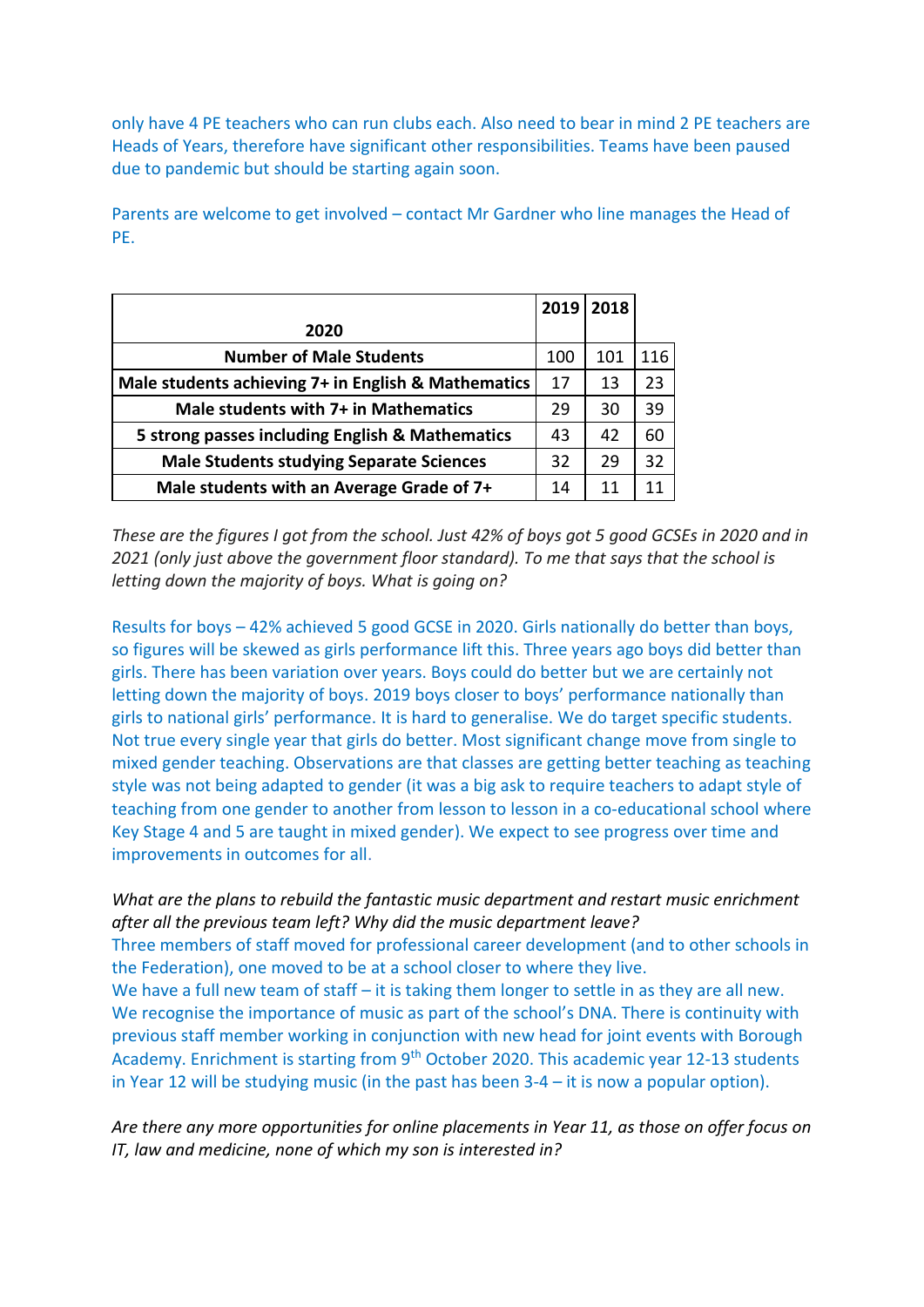only have 4 PE teachers who can run clubs each. Also need to bear in mind 2 PE teachers are Heads of Years, therefore have significant other responsibilities. Teams have been paused due to pandemic but should be starting again soon.

Parents are welcome to get involved – contact Mr Gardner who line manages the Head of PE.

|                                                     | 2019 | 2018 |     |
|-----------------------------------------------------|------|------|-----|
| 2020                                                |      |      |     |
| <b>Number of Male Students</b>                      | 100  | 101  | 116 |
| Male students achieving 7+ in English & Mathematics | 17   | 13   | 23  |
| Male students with 7+ in Mathematics                | 29   | 30   | 39  |
| 5 strong passes including English & Mathematics     | 43   | 42   | 60  |
| <b>Male Students studying Separate Sciences</b>     | 32   | 29   | 32  |
| Male students with an Average Grade of 7+           | 14   | 11   | 11  |

*These are the figures I got from the school. Just 42% of boys got 5 good GCSEs in 2020 and in 2021 (only just above the government floor standard). To me that says that the school is letting down the majority of boys. What is going on?*

Results for boys – 42% achieved 5 good GCSE in 2020. Girls nationally do better than boys, so figures will be skewed as girls performance lift this. Three years ago boys did better than girls. There has been variation over years. Boys could do better but we are certainly not letting down the majority of boys. 2019 boys closer to boys' performance nationally than girls to national girls' performance. It is hard to generalise. We do target specific students. Not true every single year that girls do better. Most significant change move from single to mixed gender teaching. Observations are that classes are getting better teaching as teaching style was not being adapted to gender (it was a big ask to require teachers to adapt style of teaching from one gender to another from lesson to lesson in a co-educational school where Key Stage 4 and 5 are taught in mixed gender). We expect to see progress over time and improvements in outcomes for all.

*What are the plans to rebuild the fantastic music department and restart music enrichment after all the previous team left? Why did the music department leave?*  Three members of staff moved for professional career development (and to other schools in the Federation), one moved to be at a school closer to where they live. We have a full new team of staff – it is taking them longer to settle in as they are all new. We recognise the importance of music as part of the school's DNA. There is continuity with previous staff member working in conjunction with new head for joint events with Borough Academy. Enrichment is starting from 9<sup>th</sup> October 2020. This academic year 12-13 students in Year 12 will be studying music (in the past has been 3-4 – it is now a popular option).

*Are there any more opportunities for online placements in Year 11, as those on offer focus on IT, law and medicine, none of which my son is interested in?*